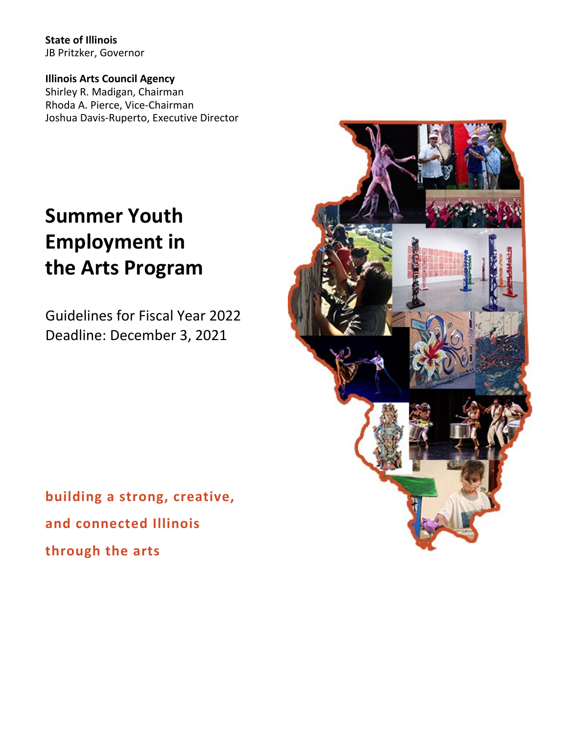**State of Illinois** JB Pritzker, Governor

**Illinois Arts Council Agency** Shirley R. Madigan, Chairman Rhoda A. Pierce, Vice-Chairman Joshua Davis-Ruperto, Executive Director

# **Summer Youth Employment in the Arts Program**

Guidelines for Fiscal Year 2022 Deadline: December 3, 2021

**building a strong, creative, and connected Illinois through the arts**

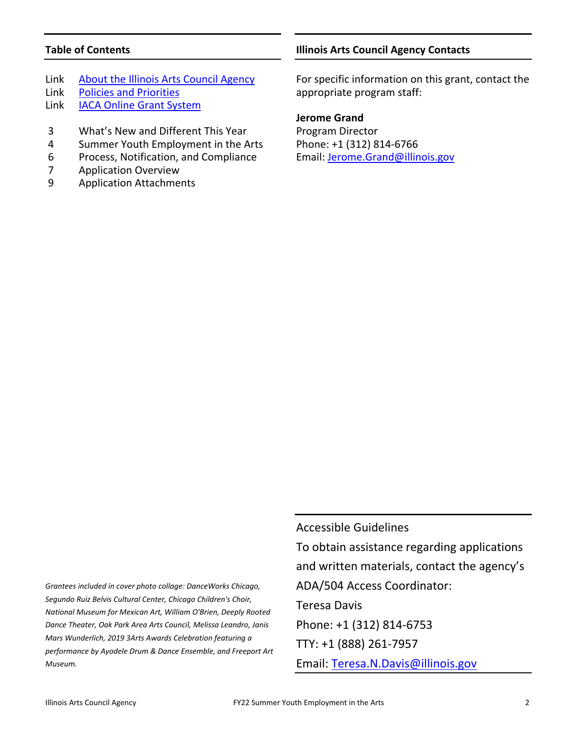# **Table of Contents**

- Link [About the Illinois Arts Council Agency](http://www.arts.illinois.gov/about-iaca)
- Link [Policies and Priorities](http://www.arts.illinois.gov/grants-programs/funding-programs/policies-priorities)
- Link [IACA Online Grant System](https://arts-illinois.force.com/)
- 3 What's New and Different This Year
- 4 Summer Youth Employment in the Arts
- 6 Process, Notification, and Compliance
- 7 Application Overview
- 9 Application Attachments

## **Illinois Arts Council Agency Contacts**

For specific information on this grant, contact the appropriate program staff:

#### **Jerome Grand**

Program Director Phone: +1 (312) 814-6766 Email: [Jerome.Grand@illinois.gov](mailto:Jerome.Grand@illinois.gov)

*Grantees included in cover photo collage: DanceWorks Chicago, Segundo Ruiz Belvis Cultural Center, Chicago Children's Choir, National Museum for Mexican Art, William O'Brien, Deeply Rooted Dance Theater, Oak Park Area Arts Council, Melissa Leandro, Janis Mars Wunderlich, 2019 3Arts Awards Celebration featuring a performance by Ayodele Drum & Dance Ensemble, and Freeport Art Museum.*

Accessible Guidelines To obtain assistance regarding applications and written materials, contact the agency's ADA/504 Access Coordinator: Teresa Davis Phone: +1 (312) 814-6753 TTY: +1 (888) 261-7957

Email: [Teresa.N.Davis@illinois.gov](mailto:teresa.n.davis@illinois.gov)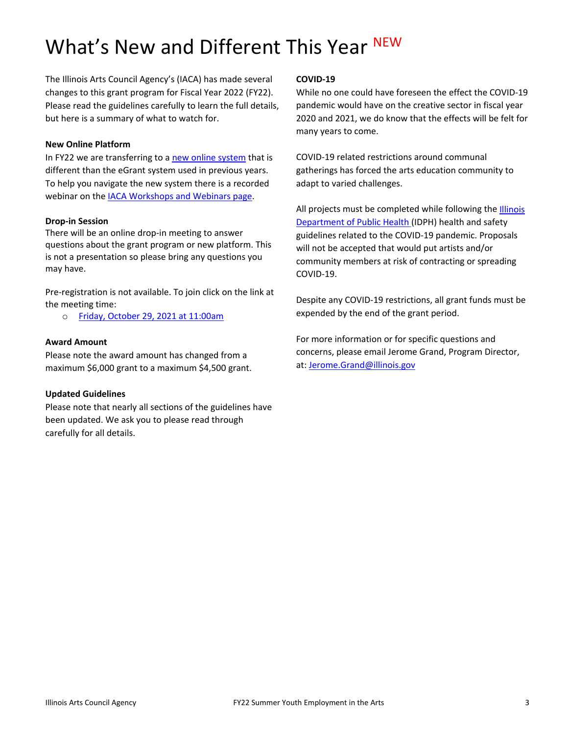# What's New and Different This Year NEW

The Illinois Arts Council Agency's (IACA) has made several changes to this grant program for Fiscal Year 2022 (FY22). Please read the guidelines carefully to learn the full details, but here is a summary of what to watch for.

#### **New Online Platform**

In FY22 we are transferring to [a new online system](https://arts-illinois.force.com/) that is different than the eGrant system used in previous years. To help you navigate the new system there is a recorded webinar on the [IACA Workshops and Webinars page.](https://arts.illinois.gov/Workshops%20%26%20Webinars)

#### **Drop-in Session**

There will be an online drop-in meeting to answer questions about the grant program or new platform. This is not a presentation so please bring any questions you may have.

Pre-registration is not available. To join click on the link at the meeting time:

o [Friday, October 29, 2021 at 11:00am](https://illinois.webex.com/illinois/j.php?MTID=m8e4912a508c65fb8731af1f0c7419475)

#### **Award Amount**

Please note the award amount has changed from a maximum \$6,000 grant to a maximum \$4,500 grant.

#### **Updated Guidelines**

Please note that nearly all sections of the guidelines have been updated. We ask you to please read through carefully for all details.

#### **COVID-19**

While no one could have foreseen the effect the COVID-19 pandemic would have on the creative sector in fiscal year 2020 and 2021, we do know that the effects will be felt for many years to come.

COVID-19 related restrictions around communal gatherings has forced the arts education community to adapt to varied challenges.

All projects must be completed while following the **Illinois** [Department of Public Health](https://www.dph.illinois.gov/covid19) (IDPH) health and safety guidelines related to the COVID-19 pandemic. Proposals will not be accepted that would put artists and/or community members at risk of contracting or spreading COVID-19.

Despite any COVID-19 restrictions, all grant funds must be expended by the end of the grant period.

For more information or for specific questions and concerns, please email Jerome Grand, Program Director, at: [Jerome.Grand@illinois.gov](mailto:Jerome.Grand@illinois.gov)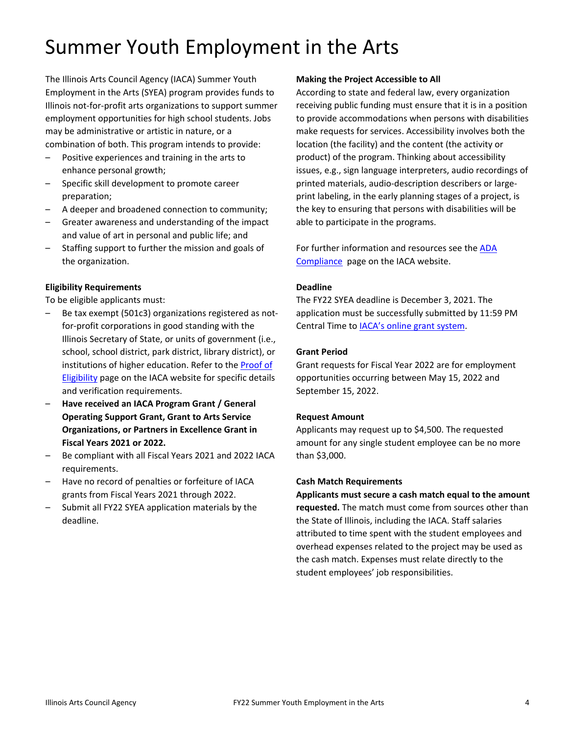# Summer Youth Employment in the Arts

The Illinois Arts Council Agency (IACA) Summer Youth Employment in the Arts (SYEA) program provides funds to Illinois not-for-profit arts organizations to support summer employment opportunities for high school students. Jobs may be administrative or artistic in nature, or a combination of both. This program intends to provide:

- Positive experiences and training in the arts to enhance personal growth;
- Specific skill development to promote career preparation;
- A deeper and broadened connection to community;
- Greater awareness and understanding of the impact and value of art in personal and public life; and
- Staffing support to further the mission and goals of the organization.

# **Eligibility Requirements**

To be eligible applicants must:

- Be tax exempt (501c3) organizations registered as notfor-profit corporations in good standing with the Illinois Secretary of State, or units of government (i.e., school, school district, park district, library district), or institutions of higher education. Refer to th[e Proof of](http://www.arts.illinois.gov/Proof%20of%20Eligibility)  [Eligibility](http://www.arts.illinois.gov/Proof%20of%20Eligibility) page on the IACA website for specific details and verification requirements.
- **Have received an IACA Program Grant / General Operating Support Grant, Grant to Arts Service Organizations, or Partners in Excellence Grant in Fiscal Years 2021 or 2022.**
- Be compliant with all Fiscal Years 2021 and 2022 IACA requirements.
- Have no record of penalties or forfeiture of IACA grants from Fiscal Years 2021 through 2022.
- Submit all FY22 SYEA application materials by the deadline.

#### **Making the Project Accessible to All**

According to state and federal law, every organization receiving public funding must ensure that it is in a position to provide accommodations when persons with disabilities make requests for services. Accessibility involves both the location (the facility) and the content (the activity or product) of the program. Thinking about accessibility issues, e.g., sign language interpreters, audio recordings of printed materials, audio-description describers or largeprint labeling, in the early planning stages of a project, is the key to ensuring that persons with disabilities will be able to participate in the programs.

For further information and resources see th[e ADA](http://www.arts.illinois.gov/sites/default/files/content/ADA%20COMPLIANCE.pdf)  [Compliance](http://www.arts.illinois.gov/sites/default/files/content/ADA%20COMPLIANCE.pdf) page on the IACA website.

#### **Deadline**

The FY22 SYEA deadline is December 3, 2021. The application must be successfully submitted by 11:59 PM Central Time to **IACA's online grant system**.

#### **Grant Period**

Grant requests for Fiscal Year 2022 are for employment opportunities occurring between May 15, 2022 and September 15, 2022.

#### **Request Amount**

Applicants may request up to \$4,500. The requested amount for any single student employee can be no more than \$3,000.

#### **Cash Match Requirements**

**Applicants must secure a cash match equal to the amount requested.** The match must come from sources other than the State of Illinois, including the IACA. Staff salaries attributed to time spent with the student employees and overhead expenses related to the project may be used as the cash match. Expenses must relate directly to the student employees' job responsibilities.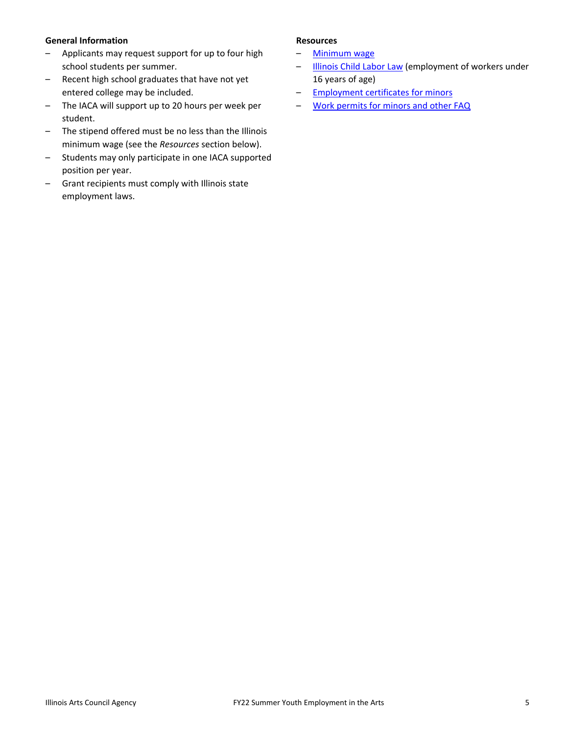#### **General Information**

- Applicants may request support for up to four high school students per summer.
- Recent high school graduates that have not yet entered college may be included.
- The IACA will support up to 20 hours per week per student.
- The stipend offered must be no less than the Illinois minimum wage (see the *Resources* section below).
- Students may only participate in one IACA supported position per year.
- Grant recipients must comply with Illinois state employment laws.

#### **Resources**

- [Minimum wage](https://www2.illinois.gov/idol/laws-rules/fls/pages/minimum-wage-rates-by-year.aspx)
- [Illinois Child Labor Law](https://www2.illinois.gov/idol/laws-rules/fls/pages/child-labor-law.aspx) (employment of workers under 16 years of age)
- [Employment certificates for minors](https://www2.illinois.gov/idol/laws-rules/fls/pages/employment-certificates-minors.aspx)
- [Work permits for minors and other FAQ](https://www2.illinois.gov/idol/faqs/pages/child-labor-faq.aspx)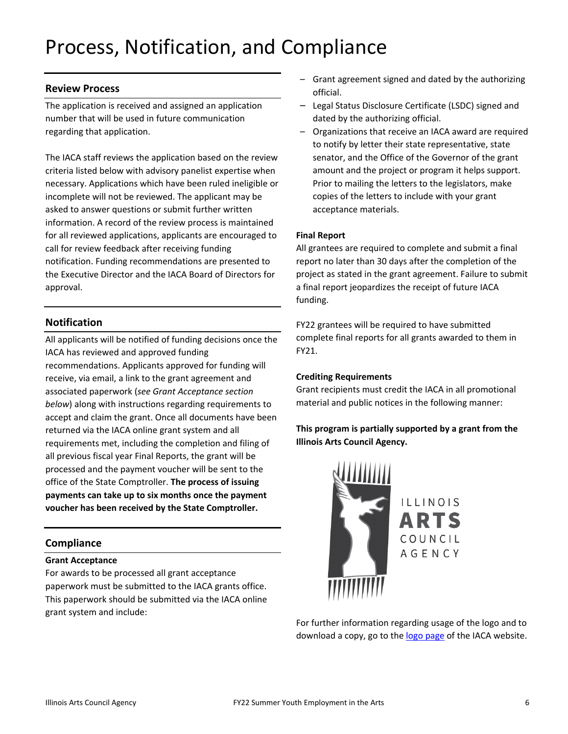# Process, Notification, and Compliance

## **Review Process**

The application is received and assigned an application number that will be used in future communication regarding that application.

The IACA staff reviews the application based on the review criteria listed below with advisory panelist expertise when necessary. Applications which have been ruled ineligible or incomplete will not be reviewed. The applicant may be asked to answer questions or submit further written information. A record of the review process is maintained for all reviewed applications, applicants are encouraged to call for review feedback after receiving funding notification. Funding recommendations are presented to the Executive Director and the IACA Board of Directors for approval.

# **Notification**

All applicants will be notified of funding decisions once the IACA has reviewed and approved funding recommendations. Applicants approved for funding will receive, via email, a link to the grant agreement and associated paperwork (*see Grant Acceptance section below*) along with instructions regarding requirements to accept and claim the grant. Once all documents have been returned via the IACA online grant system and all requirements met, including the completion and filing of all previous fiscal year Final Reports, the grant will be processed and the payment voucher will be sent to the office of the State Comptroller. **The process of issuing payments can take up to six months once the payment voucher has been received by the State Comptroller.**

# **Compliance**

#### **Grant Acceptance**

For awards to be processed all grant acceptance paperwork must be submitted to the IACA grants office. This paperwork should be submitted via the IACA online grant system and include:

- Grant agreement signed and dated by the authorizing official.
- Legal Status Disclosure Certificate (LSDC) signed and dated by the authorizing official.
- Organizations that receive an IACA award are required to notify by letter their state representative, state senator, and the Office of the Governor of the grant amount and the project or program it helps support. Prior to mailing the letters to the legislators, make copies of the letters to include with your grant acceptance materials.

#### **Final Report**

All grantees are required to complete and submit a final report no later than 30 days after the completion of the project as stated in the grant agreement. Failure to submit a final report jeopardizes the receipt of future IACA funding.

FY22 grantees will be required to have submitted complete final reports for all grants awarded to them in FY21.

#### **Crediting Requirements**

Grant recipients must credit the IACA in all promotional material and public notices in the following manner:

# **This program is partially supported by a grant from the Illinois Arts Council Agency.**



For further information regarding usage of the logo and to download a copy, go to the [logo page](http://www.arts.illinois.gov/IACLogo) of the IACA website.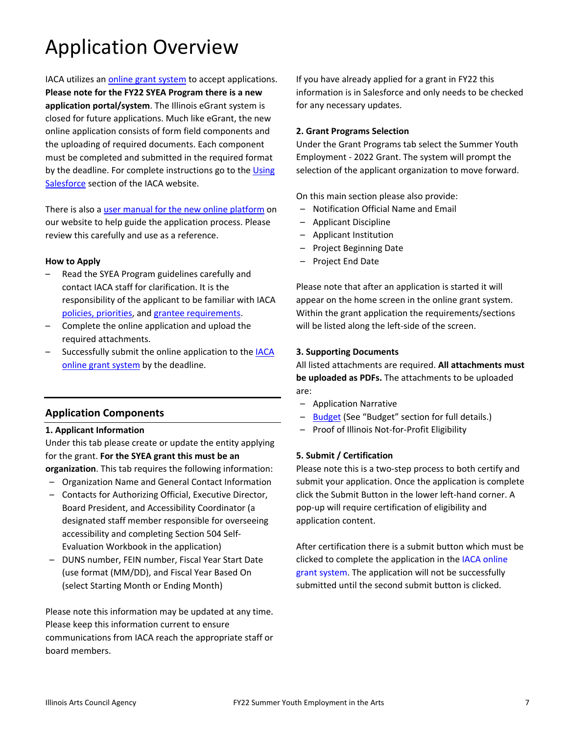# Application Overview

IACA utilizes an [online grant system](https://arts-illinois.force.com/) to accept applications. **Please note for the FY22 SYEA Program there is a new application portal/system**. The Illinois eGrant system is closed for future applications. Much like eGrant, the new online application consists of form field components and the uploading of required documents. Each component must be completed and submitted in the required format by the deadline. For complete instructions go to th[e Using](https://arts.illinois.gov/using-salesforce)  [Salesforce](https://arts.illinois.gov/using-salesforce) section of the IACA website.

There is also a [user manual for the new online platform](https://arts.illinois.gov/sites/default/files/content/IACA%20Applicant%20User%20Manual.pdf) on our website to help guide the application process. Please review this carefully and use as a reference.

#### **How to Apply**

- Read the SYEA Program guidelines carefully and contact IACA staff for clarification. It is the responsibility of the applicant to be familiar with IACA [policies, priorities,](http://www.arts.illinois.gov/grants-programs/funding-programs/policies-priorities) and [grantee requirements.](http://www.arts.illinois.gov/grantee-requirements)
- Complete the online application and upload the required attachments.
- Successfully submit the online application to the **IACA** [online grant system](https://arts-illinois.force.com/) by the deadline.

# **Application Components**

#### **1. Applicant Information**

Under this tab please create or update the entity applying for the grant. **For the SYEA grant this must be an organization**. This tab requires the following information:

- Organization Name and General Contact Information
- Contacts for Authorizing Official, Executive Director, Board President, and Accessibility Coordinator (a designated staff member responsible for overseeing accessibility and completing Section 504 Self-Evaluation Workbook in the application)
- DUNS number, FEIN number, Fiscal Year Start Date (use format (MM/DD), and Fiscal Year Based On (select Starting Month or Ending Month)

Please note this information may be updated at any time. Please keep this information current to ensure communications from IACA reach the appropriate staff or board members.

If you have already applied for a grant in FY22 this information is in Salesforce and only needs to be checked for any necessary updates.

#### **2. Grant Programs Selection**

Under the Grant Programs tab select the Summer Youth Employment - 2022 Grant. The system will prompt the selection of the applicant organization to move forward.

On this main section please also provide:

- Notification Official Name and Email
- Applicant Discipline
- Applicant Institution
- Project Beginning Date
- Project End Date

Please note that after an application is started it will appear on the home screen in the online grant system. Within the grant application the requirements/sections will be listed along the left-side of the screen.

#### **3. Supporting Documents**

All listed attachments are required. **All attachments must be uploaded as PDFs.** The attachments to be uploaded are:

- Application Narrative
- [Budget](https://arts.illinois.gov/sites/default/files/content/program-forms/FY22_SYEA_Budget-Template.pdf) (See "Budget" section for full details.)
- Proof of Illinois Not-for-Profit Eligibility

#### **5. Submit / Certification**

Please note this is a two-step process to both certify and submit your application. Once the application is complete click the Submit Button in the lower left-hand corner. A pop-up will require certification of eligibility and application content.

After certification there is a submit button which must be clicked to complete the application in the [IACA online](https://arts-illinois.force.com/)  [grant system.](https://arts-illinois.force.com/) The application will not be successfully submitted until the second submit button is clicked.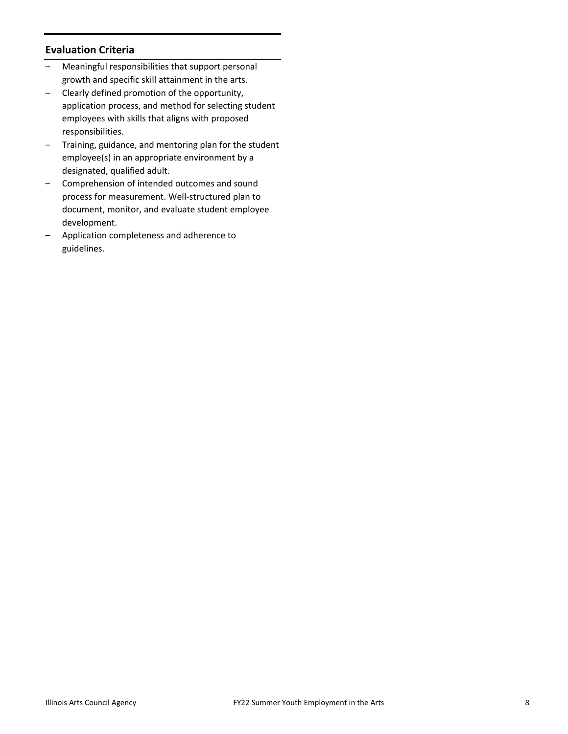# **Evaluation Criteria**

- Meaningful responsibilities that support personal growth and specific skill attainment in the arts.
- Clearly defined promotion of the opportunity, application process, and method for selecting student employees with skills that aligns with proposed responsibilities.
- Training, guidance, and mentoring plan for the student employee(s) in an appropriate environment by a designated, qualified adult.
- Comprehension of intended outcomes and sound process for measurement. Well-structured plan to document, monitor, and evaluate student employee development.
- Application completeness and adherence to guidelines.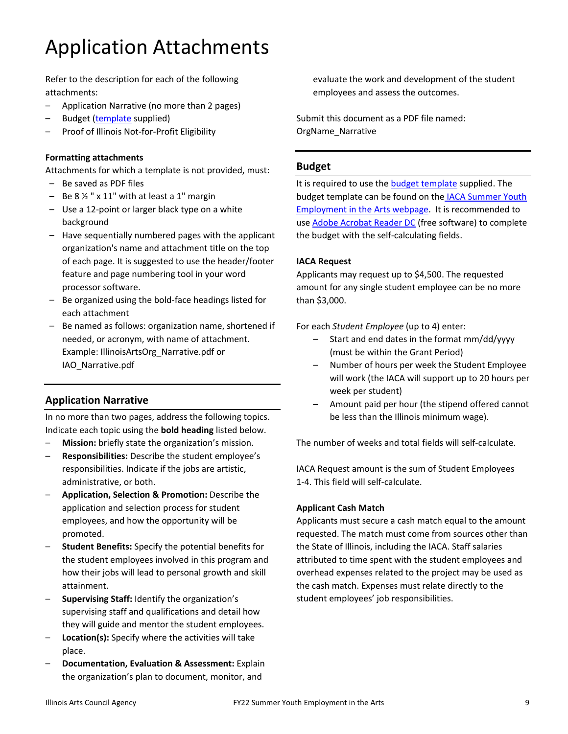# Application Attachments

Refer to the description for each of the following attachments:

- Application Narrative (no more than 2 pages)
- Budget [\(template](https://arts.illinois.gov/sites/default/files/content/program-forms/FY22_SYEA_Budget-Template.pdf) supplied)
- Proof of Illinois Not-for-Profit Eligibility

#### **Formatting attachments**

Attachments for which a template is not provided, must:

- Be saved as PDF files
- $-$  Be 8  $\frac{1}{2}$  " x 11" with at least a 1" margin
- Use a 12-point or larger black type on a white background
- Have sequentially numbered pages with the applicant organization's name and attachment title on the top of each page. It is suggested to use the header/footer feature and page numbering tool in your word processor software.
- Be organized using the bold-face headings listed for each attachment
- Be named as follows: organization name, shortened if needed, or acronym, with name of attachment. Example: IllinoisArtsOrg\_Narrative.pdf or IAO\_Narrative.pdf

# **Application Narrative**

In no more than two pages, address the following topics. Indicate each topic using the **bold heading** listed below.

- **Mission:** briefly state the organization's mission.
- **Responsibilities:** Describe the student employee's responsibilities. Indicate if the jobs are artistic, administrative, or both.
- **Application, Selection & Promotion:** Describe the application and selection process for student employees, and how the opportunity will be promoted.
- **Student Benefits:** Specify the potential benefits for the student employees involved in this program and how their jobs will lead to personal growth and skill attainment.
- **Supervising Staff:** Identify the organization's supervising staff and qualifications and detail how they will guide and mentor the student employees.
- **Location(s):** Specify where the activities will take place.
- **Documentation, Evaluation & Assessment:** Explain the organization's plan to document, monitor, and

evaluate the work and development of the student employees and assess the outcomes.

Submit this document as a PDF file named: OrgName\_Narrative

#### **Budget**

It is required to use the **budget template** supplied. The budget template can be found on the [IACA Summer Youth](https://arts.illinois.gov/SYEA)  [Employment in the Arts webpage.](https://arts.illinois.gov/SYEA) It is recommended to use [Adobe Acrobat Reader DC](https://get2.adobe.com/reader/) (free software) to complete the budget with the self-calculating fields.

#### **IACA Request**

Applicants may request up to \$4,500. The requested amount for any single student employee can be no more than \$3,000.

For each *Student Employee* (up to 4) enter:

- Start and end dates in the format mm/dd/yyyy (must be within the Grant Period)
- Number of hours per week the Student Employee will work (the IACA will support up to 20 hours per week per student)
- Amount paid per hour (the stipend offered cannot be less than the Illinois minimum wage).

The number of weeks and total fields will self-calculate.

IACA Request amount is the sum of Student Employees 1-4. This field will self-calculate.

#### **Applicant Cash Match**

Applicants must secure a cash match equal to the amount requested. The match must come from sources other than the State of Illinois, including the IACA. Staff salaries attributed to time spent with the student employees and overhead expenses related to the project may be used as the cash match. Expenses must relate directly to the student employees' job responsibilities.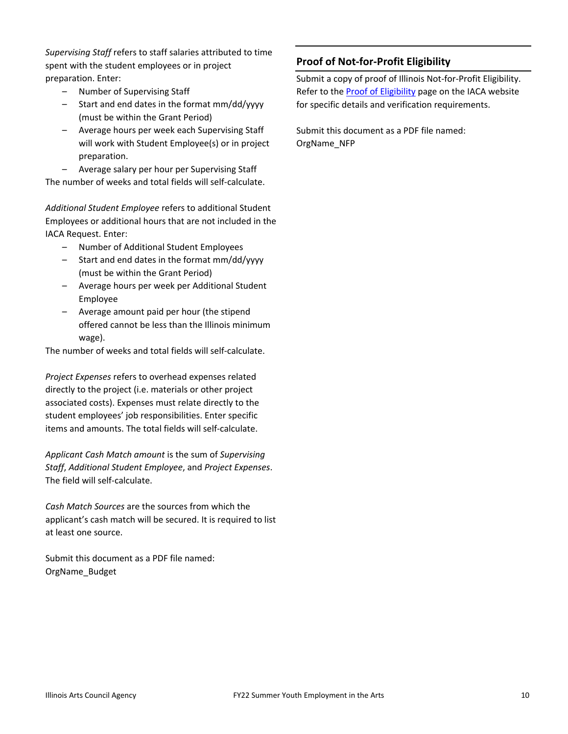*Supervising Staff* refers to staff salaries attributed to time spent with the student employees or in project preparation. Enter:

- Number of Supervising Staff
- Start and end dates in the format mm/dd/yyyy (must be within the Grant Period)
- Average hours per week each Supervising Staff will work with Student Employee(s) or in project preparation.

– Average salary per hour per Supervising Staff The number of weeks and total fields will self-calculate.

*Additional Student Employee* refers to additional Student Employees or additional hours that are not included in the IACA Request. Enter:

- Number of Additional Student Employees
- Start and end dates in the format mm/dd/yyyy (must be within the Grant Period)
- Average hours per week per Additional Student Employee
- Average amount paid per hour (the stipend offered cannot be less than the Illinois minimum wage).

The number of weeks and total fields will self-calculate.

*Project Expenses* refers to overhead expenses related directly to the project (i.e. materials or other project associated costs). Expenses must relate directly to the student employees' job responsibilities. Enter specific items and amounts. The total fields will self-calculate.

*Applicant Cash Match amount* is the sum of *Supervising Staff*, *Additional Student Employee*, and *Project Expenses*. The field will self-calculate.

*Cash Match Sources* are the sources from which the applicant's cash match will be secured. It is required to list at least one source.

Submit this document as a PDF file named: OrgName\_Budget

# **Proof of Not-for-Profit Eligibility**

Submit a copy of proof of Illinois Not-for-Profit Eligibility. Refer to the [Proof of Eligibility](http://www.arts.illinois.gov/Proof%20of%20Eligibility) page on the IACA website for specific details and verification requirements.

Submit this document as a PDF file named: OrgName\_NFP